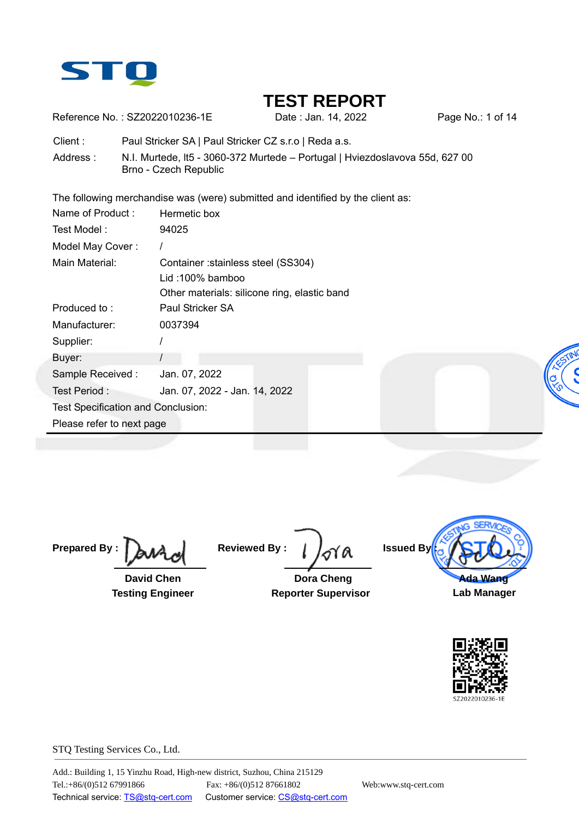

Reference No.: SZ2022010236-1E Date : Jan. 14, 2022 Page No.: 1 of 14

Client : Paul Stricker SA | Paul Stricker CZ s.r.o | Reda a.s.

Address : N.I. Murtede, lt5 - 3060-372 Murtede – Portugal | Hviezdoslavova 55d, 627 00 Brno - Czech Republic

The following merchandise was (were) submitted and identified by the client as:

| Name of Product:                   | Hermetic box                                 |
|------------------------------------|----------------------------------------------|
| Test Model:                        | 94025                                        |
| Model May Cover:                   |                                              |
| Main Material:                     | Container: stainless steel (SS304)           |
|                                    | Lid: 100% bamboo                             |
|                                    | Other materials: silicone ring, elastic band |
| Produced to:                       | Paul Stricker SA                             |
| Manufacturer:                      | 0037394                                      |
| Supplier:                          |                                              |
| Buyer:                             |                                              |
| Sample Received:                   | Jan. 07, 2022<br>ion                         |
| Test Period:                       | Jan. 07, 2022 - Jan. 14, 2022                |
| Test Specification and Conclusion: |                                              |
| Please refer to next page          |                                              |
|                                    |                                              |

**Prepared By :** 

 **David Chen Testing Engineer** 

**Reviewed By :** 

 **Dora Cheng Reporter Supervisor**



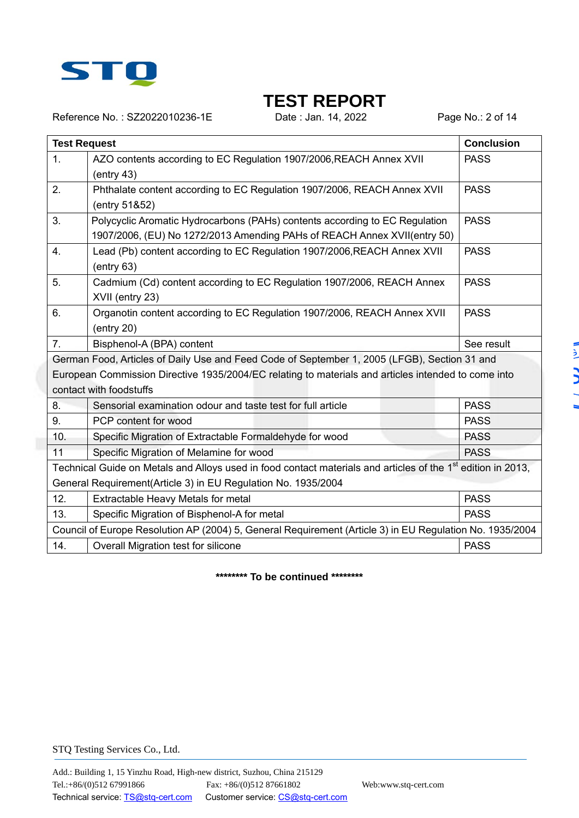

Reference No.: SZ2022010236-1E Date : Jan. 14, 2022 Page No.: 2 of 14

|     | <b>Test Request</b>                                                                                                                                                                                                            | <b>Conclusion</b> |
|-----|--------------------------------------------------------------------------------------------------------------------------------------------------------------------------------------------------------------------------------|-------------------|
| 1.  | AZO contents according to EC Regulation 1907/2006, REACH Annex XVII<br>(entry 43)                                                                                                                                              | <b>PASS</b>       |
| 2.  | Phthalate content according to EC Regulation 1907/2006, REACH Annex XVII<br>(entry 51&52)                                                                                                                                      | <b>PASS</b>       |
| 3.  | Polycyclic Aromatic Hydrocarbons (PAHs) contents according to EC Regulation<br>1907/2006, (EU) No 1272/2013 Amending PAHs of REACH Annex XVII(entry 50)                                                                        | <b>PASS</b>       |
| 4.  | Lead (Pb) content according to EC Regulation 1907/2006, REACH Annex XVII<br>(entry 63)                                                                                                                                         | <b>PASS</b>       |
| 5.  | Cadmium (Cd) content according to EC Regulation 1907/2006, REACH Annex<br>XVII (entry 23)                                                                                                                                      | <b>PASS</b>       |
| 6.  | Organotin content according to EC Regulation 1907/2006, REACH Annex XVII<br>(entry 20)                                                                                                                                         | <b>PASS</b>       |
| 7.  | Bisphenol-A (BPA) content                                                                                                                                                                                                      | See result        |
|     | German Food, Articles of Daily Use and Feed Code of September 1, 2005 (LFGB), Section 31 and<br>European Commission Directive 1935/2004/EC relating to materials and articles intended to come into<br>contact with foodstuffs |                   |
| 8.  | Sensorial examination odour and taste test for full article                                                                                                                                                                    | <b>PASS</b>       |
| 9.  | PCP content for wood                                                                                                                                                                                                           | <b>PASS</b>       |
| 10. | Specific Migration of Extractable Formaldehyde for wood                                                                                                                                                                        | <b>PASS</b>       |
| 11  | Specific Migration of Melamine for wood                                                                                                                                                                                        | <b>PASS</b>       |
|     | Technical Guide on Metals and Alloys used in food contact materials and articles of the 1 <sup>st</sup> edition in 2013,<br>General Requirement(Article 3) in EU Regulation No. 1935/2004                                      |                   |
| 12. | Extractable Heavy Metals for metal                                                                                                                                                                                             | <b>PASS</b>       |
| 13. | Specific Migration of Bisphenol-A for metal                                                                                                                                                                                    | <b>PASS</b>       |
|     | Council of Europe Resolution AP (2004) 5, General Requirement (Article 3) in EU Regulation No. 1935/2004                                                                                                                       |                   |
| 14. | Overall Migration test for silicone                                                                                                                                                                                            | <b>PASS</b>       |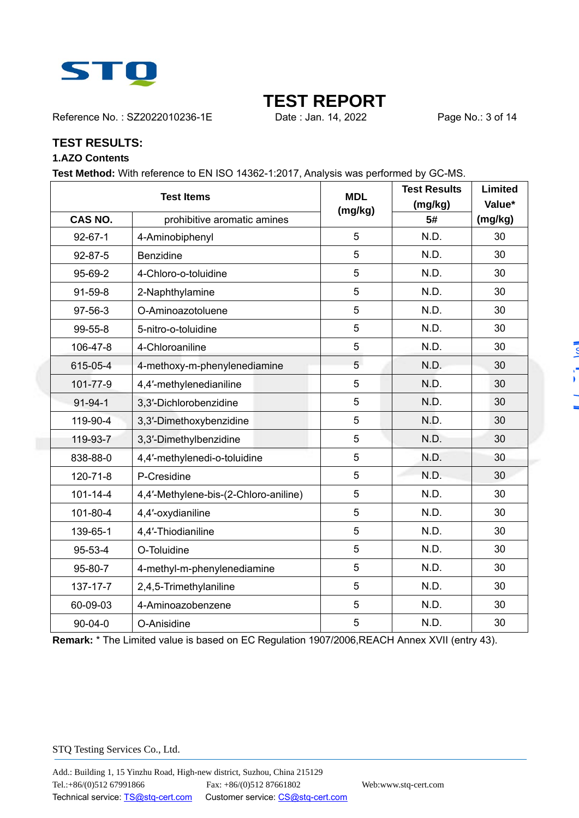

Reference No.: SZ2022010236-1E Date : Jan. 14, 2022 Page No.: 3 of 14

#### **TEST RESULTS:**

#### **1.AZO Contents**

**Test Method:** With reference to EN ISO 14362-1:2017, Analysis was performed by GC-MS.

|                | <b>Test Items</b>                             | <b>MDL</b> | <b>Test Results</b> | <b>Limited</b>    |
|----------------|-----------------------------------------------|------------|---------------------|-------------------|
|                | <b>CAS NO.</b><br>prohibitive aromatic amines |            | (mg/kg)<br>5#       | Value*<br>(mg/kg) |
| $92 - 67 - 1$  | 4-Aminobiphenyl                               | 5          | N.D.                | 30                |
| $92 - 87 - 5$  | <b>Benzidine</b>                              | 5          | N.D.                | 30                |
|                |                                               |            |                     |                   |
| 95-69-2        | 4-Chloro-o-toluidine                          | 5          | N.D.                | 30                |
| 91-59-8        | 2-Naphthylamine                               | 5          | N.D.                | 30                |
| 97-56-3        | O-Aminoazotoluene                             | 5          | N.D.                | 30                |
| 99-55-8        | 5-nitro-o-toluidine                           | 5          | N.D.                | 30                |
| 106-47-8       | 4-Chloroaniline                               | 5          | N.D.                | 30                |
| 615-05-4       | 4-methoxy-m-phenylenediamine                  | 5          | N.D.                | 30                |
| 101-77-9       | 4,4'-methylenedianiline                       | 5          | N.D.                | 30                |
| $91 - 94 - 1$  | 3,3'-Dichlorobenzidine                        | 5          | N.D.                | 30                |
| 119-90-4       | 3,3'-Dimethoxybenzidine                       | 5          | N.D.                | 30                |
| 119-93-7       | 3,3'-Dimethylbenzidine                        | 5          | N.D.                | 30                |
| 838-88-0       | 4,4'-methylenedi-o-toluidine                  | 5          | N.D.                | 30                |
| 120-71-8       | P-Cresidine                                   | 5          | N.D.                | 30                |
| $101 - 14 - 4$ | 4,4'-Methylene-bis-(2-Chloro-aniline)         | 5          | N.D.                | 30                |
| 101-80-4       | 4,4'-oxydianiline                             | 5          | N.D.                | 30                |
| 139-65-1       | 4,4'-Thiodianiline                            | 5          | N.D.                | 30                |
| 95-53-4        | O-Toluidine                                   | 5          | N.D.                | 30                |
| 95-80-7        | 4-methyl-m-phenylenediamine                   | 5          | N.D.                | 30                |
| 137-17-7       | 2,4,5-Trimethylaniline                        | 5          | N.D.                | 30                |
| 60-09-03       | 4-Aminoazobenzene                             | 5          | N.D.                | 30                |
| $90 - 04 - 0$  | O-Anisidine                                   | 5          | N.D.                | 30                |

**Remark:** \* The Limited value is based on EC Regulation 1907/2006,REACH Annex XVII (entry 43).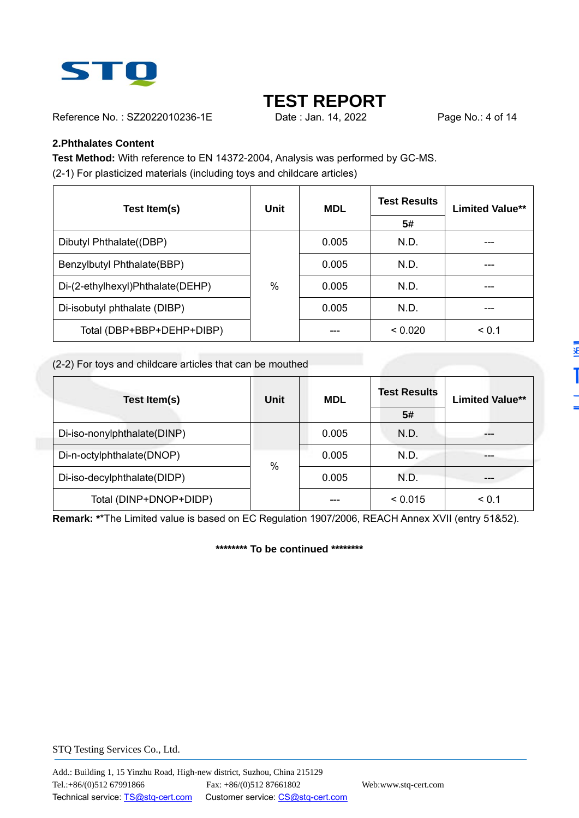

ë

Reference No.: SZ2022010236-1E Date : Jan. 14, 2022 Page No.: 4 of 14

#### **2.Phthalates Content**

**Test Method:** With reference to EN 14372-2004, Analysis was performed by GC-MS. (2-1) For plasticized materials (including toys and childcare articles)

| Test Item(s)                     | Unit | <b>MDL</b> | <b>Test Results</b> | <b>Limited Value**</b> |  |
|----------------------------------|------|------------|---------------------|------------------------|--|
|                                  |      |            | 5#                  |                        |  |
| Dibutyl Phthalate((DBP)          |      | 0.005      | N.D.                |                        |  |
| Benzylbutyl Phthalate(BBP)       |      | 0.005      | N.D.                |                        |  |
| Di-(2-ethylhexyl)Phthalate(DEHP) | $\%$ | 0.005      | N.D.                |                        |  |
| Di-isobutyl phthalate (DIBP)     |      | 0.005      | N.D.                |                        |  |
| Total (DBP+BBP+DEHP+DIBP)        |      |            | < 0.020             | < 0.1                  |  |

#### (2-2) For toys and childcare articles that can be mouthed

| Test Item(s)                | <b>Unit</b>   | <b>MDL</b> | <b>Test Results</b> | <b>Limited Value**</b> |
|-----------------------------|---------------|------------|---------------------|------------------------|
|                             |               |            | 5#                  |                        |
| Di-iso-nonylphthalate(DINP) |               | 0.005      | N.D.                |                        |
| Di-n-octylphthalate(DNOP)   | $\frac{0}{0}$ | 0.005      | N.D.                |                        |
| Di-iso-decylphthalate(DIDP) |               | 0.005      | N.D.                |                        |
| Total (DINP+DNOP+DIDP)      |               |            | < 0.015             | < 0.1                  |

**Remark: \***\*The Limited value is based on EC Regulation 1907/2006, REACH Annex XVII (entry 51&52).

**\*\*\*\*\*\*\*\* To be continued \*\*\*\*\*\*\*\***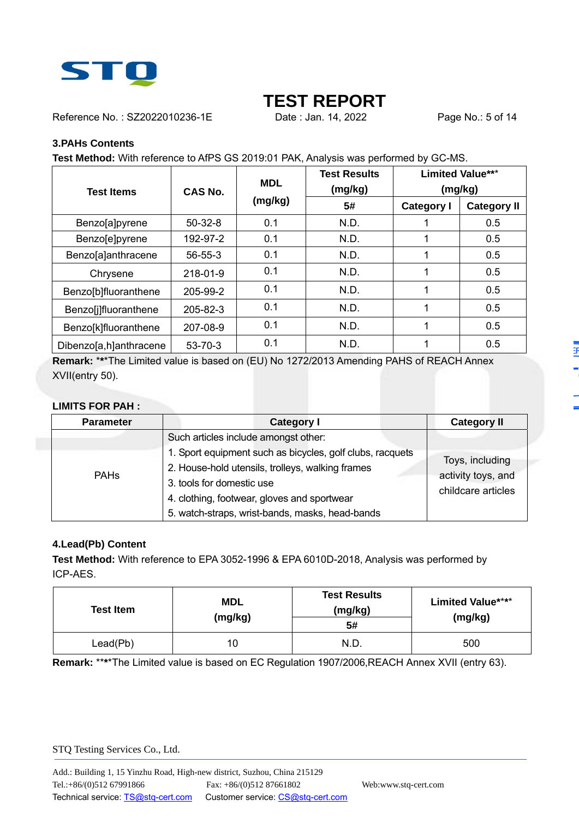

Reference No.: SZ2022010236-1E Date : Jan. 14, 2022 Page No.: 5 of 14

#### **3.PAHs Contents**

**Test Method:** With reference to AfPS GS 2019:01 PAK, Analysis was performed by GC-MS.

|                              |                | <b>MDL</b> | <b>Test Results</b> |                   | <b>Limited Value***</b> |
|------------------------------|----------------|------------|---------------------|-------------------|-------------------------|
| <b>Test Items</b>            | CAS No.        |            | (mg/kg)             | (mg/kg)           |                         |
|                              |                | (mg/kg)    | 5#                  | <b>Category I</b> | <b>Category II</b>      |
| Benzo[a]pyrene               | $50-32-8$      | 0.1        | N.D.                |                   | 0.5                     |
| Benzo[e]pyrene               | 192-97-2       | 0.1        | N.D.                |                   | 0.5                     |
| Benzo[a]anthracene           | $56 - 55 - 3$  | 0.1        | N.D.                |                   | 0.5                     |
| Chrysene                     | 218-01-9       | 0.1        | N.D.                |                   | 0.5                     |
| Benzo[b]fluoranthene         | 205-99-2       | 0.1        | N.D.                | 1                 | 0.5                     |
| <b>Benzo</b> [j]fluoranthene | $205 - 82 - 3$ | 0.1        | N.D.                |                   | 0.5                     |
| Benzo[k]fluoranthene         | 207-08-9       | 0.1        | N.D.                |                   | 0.5                     |
| Dibenzo[a,h]anthracene       | $53 - 70 - 3$  | 0.1        | N.D.                |                   | 0.5                     |

**Remark:** \***\***\*The Limited value is based on (EU) No 1272/2013 Amending PAHS of REACH Annex XVII(entry 50).

#### **LIMITS FOR PAH :**

| <b>Parameter</b> | <b>Category I</b>                                         | <b>Category II</b>                    |
|------------------|-----------------------------------------------------------|---------------------------------------|
|                  | Such articles include amongst other:                      |                                       |
|                  | 1. Sport equipment such as bicycles, golf clubs, racquets | Toys, including<br>activity toys, and |
| <b>PAHs</b>      | 2. House-hold utensils, trolleys, walking frames          |                                       |
|                  | 3. tools for domestic use                                 | childcare articles                    |
|                  | 4. clothing, footwear, gloves and sportwear               |                                       |
|                  | 5. watch-straps, wrist-bands, masks, head-bands           |                                       |

#### **4.Lead(Pb) Content**

**Test Method:** With reference to EPA 3052-1996 & EPA 6010D-2018, Analysis was performed by ICP-AES.

| <b>Test Item</b> | <b>MDL</b><br>(mg/kg) | <b>Test Results</b><br>(mg/kg)<br>5# | <b>Limited Value****</b><br>(mg/kg) |
|------------------|-----------------------|--------------------------------------|-------------------------------------|
| Lead(Pb)         | 10                    | N.D.                                 | 500                                 |

**Remark:** \*\***\***\*The Limited value is based on EC Regulation 1907/2006,REACH Annex XVII (entry 63).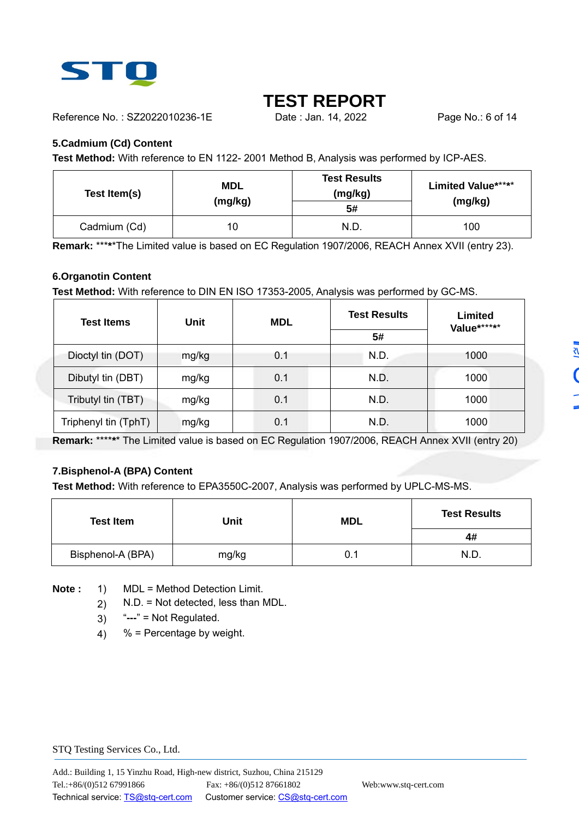

Reference No.: SZ2022010236-1E Date : Jan. 14, 2022 Page No.: 6 of 14

#### **5.Cadmium (Cd) Content**

**Test Method:** With reference to EN 1122- 2001 Method B, Analysis was performed by ICP-AES.

| Test Item(s) | <b>MDL</b><br>(mg/kg) | <b>Test Results</b><br>(mg/kg)<br>5# | <b>Limited Value*****</b><br>(mg/kg) |
|--------------|-----------------------|--------------------------------------|--------------------------------------|
| Cadmium (Cd) | 10                    | N.D.                                 | 100                                  |

**Remark:** \*\*\***\***\*The Limited value is based on EC Regulation 1907/2006, REACH Annex XVII (entry 23).

#### **6.Organotin Content**

**Test Method:** With reference to DIN EN ISO 17353-2005, Analysis was performed by GC-MS.

| <b>Test Items</b>    | Unit  | <b>MDL</b> | <b>Test Results</b> | Limited<br>Value****** |
|----------------------|-------|------------|---------------------|------------------------|
|                      |       |            | 5#                  |                        |
| Dioctyl tin (DOT)    | mg/kg | 0.1        | N.D.                | 1000                   |
| Dibutyl tin (DBT)    | mg/kg | 0.1        | N.D.                | 1000                   |
| Tributyl tin (TBT)   | mg/kg | 0.1        | N.D.                | 1000                   |
| Triphenyl tin (TphT) | mg/kg | 0.1        | N.D.                | 1000                   |

**Remark:** \*\*\*\***\***\* The Limited value is based on EC Regulation 1907/2006, REACH Annex XVII (entry 20)

#### **7.Bisphenol-A (BPA) Content**

**Test Method:** With reference to EPA3550C-2007, Analysis was performed by UPLC-MS-MS.

| <b>Test Item</b>  | Unit  |     | <b>Test Results</b> |
|-------------------|-------|-----|---------------------|
|                   |       |     | 4#                  |
| Bisphenol-A (BPA) | mg/kg | 0.1 | N.D.                |

**Note :** 1) MDL = Method Detection Limit.

- 2) N.D. = Not detected, less than MDL.
- 3) "**---**" = Not Regulated.
- 4)  $%$  = Percentage by weight.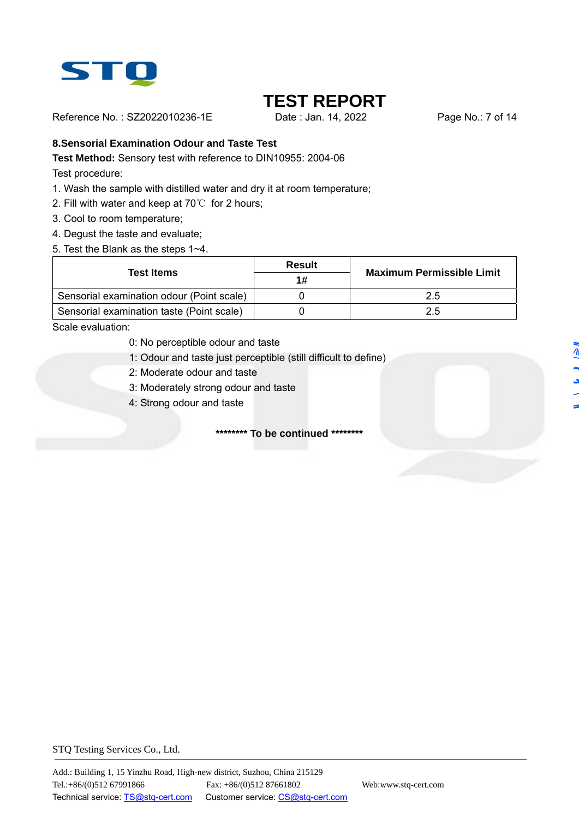

Reference No.: SZ2022010236-1E Date : Jan. 14, 2022 Page No.: 7 of 14

#### **8.Sensorial Examination Odour and Taste Test**

**Test Method:** Sensory test with reference to DIN10955: 2004-06

Test procedure:

- 1. Wash the sample with distilled water and dry it at room temperature;
- 2. Fill with water and keep at 70℃ for 2 hours;
- 3. Cool to room temperature;
- 4. Degust the taste and evaluate;
- 5. Test the Blank as the steps 1~4.

| Test Items                                | Result | <b>Maximum Permissible Limit</b> |
|-------------------------------------------|--------|----------------------------------|
|                                           | 1#     |                                  |
| Sensorial examination odour (Point scale) |        | 2.5                              |
| Sensorial examination taste (Point scale) |        | 2.5                              |

Scale evaluation:

- 0: No perceptible odour and taste
- 1: Odour and taste just perceptible (still difficult to define)
- 2: Moderate odour and taste
- 3: Moderately strong odour and taste
- 4: Strong odour and taste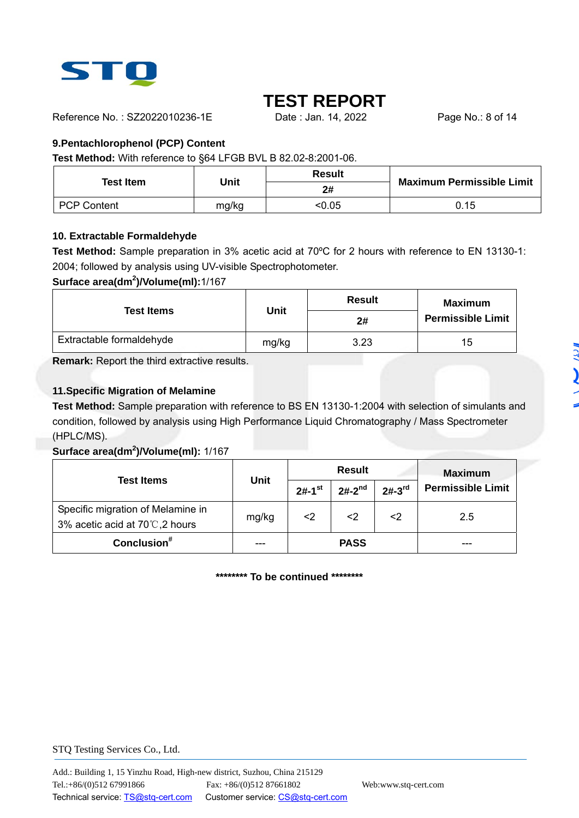

Reference No.: SZ2022010236-1E Date : Jan. 14, 2022 Page No.: 8 of 14

#### **9.Pentachlorophenol (PCP) Content**

**Test Method:** With reference to §64 LFGB BVL B 82.02-8:2001-06.

| <b>Test Item</b>   | Unit  | <b>Result</b> | <b>Maximum Permissible Limit</b> |  |
|--------------------|-------|---------------|----------------------------------|--|
|                    |       | 2#            |                                  |  |
| <b>PCP Content</b> | mg/kg | <0.05         | 0.15                             |  |

#### **10. Extractable Formaldehyde**

**Test Method:** Sample preparation in 3% acetic acid at 70ºC for 2 hours with reference to EN 13130-1: 2004; followed by analysis using UV-visible Spectrophotometer.

#### **Surface area(dm<sup>2</sup> )/Volume(ml):**1/167

| <b>Test Items</b>        | <b>Unit</b> | <b>Result</b> | Maximum                  |  |
|--------------------------|-------------|---------------|--------------------------|--|
|                          | 2#          |               | <b>Permissible Limit</b> |  |
| Extractable formaldehyde | mg/kg       | 3.23          | 15                       |  |

**Remark:** Report the third extractive results.

#### **11.Specific Migration of Melamine**

**Test Method:** Sample preparation with reference to BS EN 13130-1:2004 with selection of simulants and condition, followed by analysis using High Performance Liquid Chromatography / Mass Spectrometer (HPLC/MS).

#### **Surface area(dm<sup>2</sup> )/Volume(ml):** 1/167

|                                                                    |             |                      | <b>Result</b> | <b>Maximum</b> |                          |
|--------------------------------------------------------------------|-------------|----------------------|---------------|----------------|--------------------------|
| <b>Test Items</b>                                                  | <b>Unit</b> | $2#-1$ <sup>st</sup> | $2#-2^{nd}$   | $2#-3^{rd}$    | <b>Permissible Limit</b> |
| Specific migration of Melamine in<br>3% acetic acid at 70℃,2 hours | mg/kg       | <2                   | <2            | <2             | 2.5                      |
| Conclusion $*$                                                     |             |                      | <b>PASS</b>   |                |                          |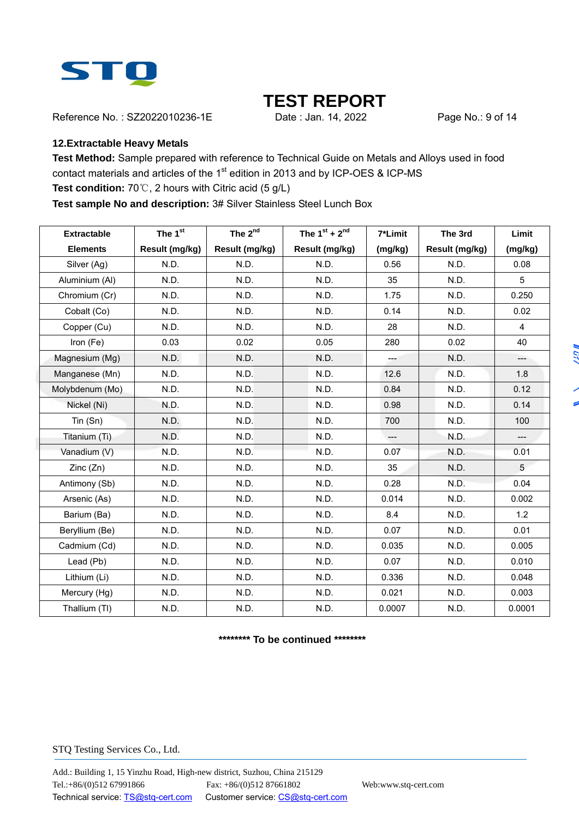

Reference No.: SZ2022010236-1E Date : Jan. 14, 2022 Page No.: 9 of 14

#### **12.Extractable Heavy Metals**

**Test Method:** Sample prepared with reference to Technical Guide on Metals and Alloys used in food contact materials and articles of the 1<sup>st</sup> edition in 2013 and by ICP-OES & ICP-MS

### **Test condition:** 70℃, 2 hours with Citric acid (5 g/L)

**Test sample No and description:** 3# Silver Stainless Steel Lunch Box

| <b>Extractable</b> | The 1st        | The 2 <sup>nd</sup> | The $1^{st}$ + $2^{nd}$ | 7*Limit | The 3rd        | Limit          |
|--------------------|----------------|---------------------|-------------------------|---------|----------------|----------------|
| <b>Elements</b>    | Result (mg/kg) | Result (mg/kg)      | Result (mg/kg)          | (mg/kg) | Result (mg/kg) | (mg/kg)        |
| Silver (Ag)        | N.D.           | N.D.                | N.D.                    | 0.56    | N.D.           | 0.08           |
| Aluminium (Al)     | N.D.           | N.D.                | N.D.                    | 35      | N.D.           | 5              |
| Chromium (Cr)      | N.D.           | N.D.                | N.D.                    | 1.75    | N.D.           | 0.250          |
| Cobalt (Co)        | N.D.           | N.D.                | N.D.                    | 0.14    | N.D.           | 0.02           |
| Copper (Cu)        | N.D.           | N.D.                | N.D.                    | 28      | N.D.           | $\overline{4}$ |
| Iron (Fe)          | 0.03           | 0.02                | 0.05                    | 280     | 0.02           | 40             |
| Magnesium (Mg)     | N.D.           | N.D.                | N.D.                    | $\sim$  | N.D.           | $---$          |
| Manganese (Mn)     | N.D.           | N.D.                | N.D.                    | 12.6    | N.D.           | 1.8            |
| Molybdenum (Mo)    | N.D.           | N.D.                | N.D.                    | 0.84    | N.D.           | 0.12           |
| Nickel (Ni)        | N.D.           | N.D.                | N.D.                    | 0.98    | N.D.           | 0.14           |
| $T$ in (Sn)        | N.D.           | N.D.                | N.D.                    | 700     | N.D.           | 100            |
| Titanium (Ti)      | N.D.           | N.D.                | N.D.                    | $---$   | N.D.           | $---$          |
| Vanadium (V)       | N.D.           | N.D.                | N.D.                    | 0.07    | N.D.           | 0.01           |
| Zinc(Zn)           | N.D.           | N.D.                | N.D.                    | 35      | N.D.           | 5              |
| Antimony (Sb)      | N.D.           | N.D.                | N.D.                    | 0.28    | N.D.           | 0.04           |
| Arsenic (As)       | N.D.           | N.D.                | N.D.                    | 0.014   | N.D.           | 0.002          |
| Barium (Ba)        | N.D.           | N.D.                | N.D.                    | 8.4     | N.D.           | 1.2            |
| Beryllium (Be)     | N.D.           | N.D.                | N.D.                    | 0.07    | N.D.           | 0.01           |
| Cadmium (Cd)       | N.D.           | N.D.                | N.D.                    | 0.035   | N.D.           | 0.005          |
| Lead (Pb)          | N.D.           | N.D.                | N.D.                    | 0.07    | N.D.           | 0.010          |
| Lithium (Li)       | N.D.           | N.D.                | N.D.                    | 0.336   | N.D.           | 0.048          |
| Mercury (Hg)       | N.D.           | N.D.                | N.D.                    | 0.021   | N.D.           | 0.003          |
| Thallium (TI)      | N.D.           | N.D.                | N.D.                    | 0.0007  | N.D.           | 0.0001         |

**\*\*\*\*\*\*\*\* To be continued \*\*\*\*\*\*\*\***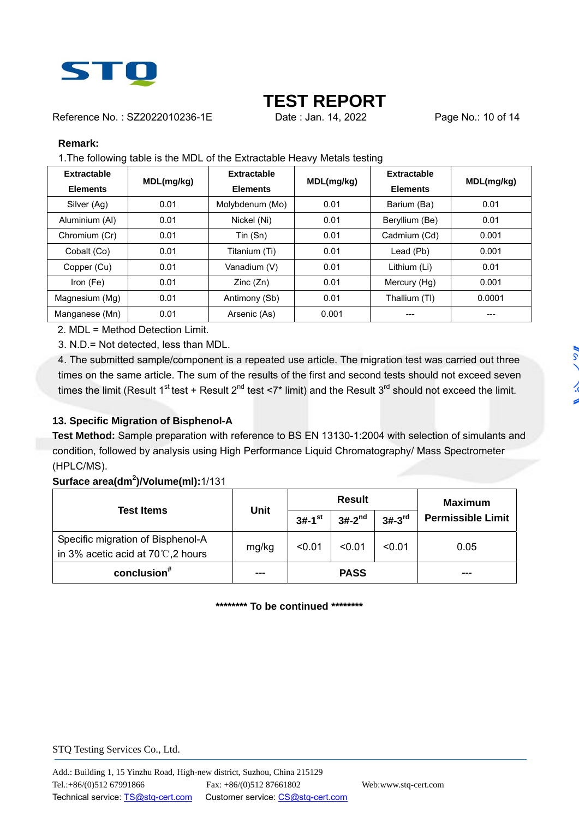

Reference No.: SZ2022010236-1E Date: Jan. 14, 2022 Page No.: 10 of 14

#### **Remark:**

1.The following table is the MDL of the Extractable Heavy Metals testing

| Extractable<br><b>Elements</b> | MDL(mg/kg) | Extractable<br><b>Elements</b> | MDL(mg/kg) | Extractable<br><b>Elements</b> | MDL(mg/kg) |
|--------------------------------|------------|--------------------------------|------------|--------------------------------|------------|
| Silver (Ag)                    | 0.01       | Molybdenum (Mo)                | 0.01       | Barium (Ba)                    | 0.01       |
| Aluminium (AI)                 | 0.01       | Nickel (Ni)                    | 0.01       | Beryllium (Be)                 | 0.01       |
| Chromium (Cr)                  | 0.01       | Tin (Sn)                       | 0.01       | Cadmium (Cd)                   | 0.001      |
| Cobalt (Co)                    | 0.01       | Titanium (Ti)                  | 0.01       | Lead (Pb)                      | 0.001      |
| Copper (Cu)                    | 0.01       | Vanadium (V)                   | 0.01       | Lithium (Li)                   | 0.01       |
| Iron $(Fe)$                    | 0.01       | Zinc(Zn)                       | 0.01       | Mercury (Hg)                   | 0.001      |
| Magnesium (Mg)                 | 0.01       | Antimony (Sb)                  | 0.01       | Thallium (TI)                  | 0.0001     |
| Manganese (Mn)                 | 0.01       | Arsenic (As)                   | 0.001      | ---                            |            |

2. MDL = Method Detection Limit.

3. N.D.= Not detected, less than MDL.

4. The submitted sample/component is a repeated use article. The migration test was carried out three times on the same article. The sum of the results of the first and second tests should not exceed seven times the limit (Result 1<sup>st</sup> test + Result 2<sup>nd</sup> test <7\* limit) and the Result 3<sup>rd</sup> should not exceed the limit.

#### **13. Specific Migration of Bisphenol-A**

**Test Method:** Sample preparation with reference to BS EN 13130-1:2004 with selection of simulants and condition, followed by analysis using High Performance Liquid Chromatography/ Mass Spectrometer (HPLC/MS).

#### **Surface area(dm<sup>2</sup> )/Volume(ml):**1/131

|                                                                                   | <b>Unit</b> |                      | <b>Result</b> | <b>Maximum</b> |                          |
|-----------------------------------------------------------------------------------|-------------|----------------------|---------------|----------------|--------------------------|
| <b>Test Items</b>                                                                 |             | $3#-1$ <sup>st</sup> | $3#-2^{nd}$   | $3#-3rd$       | <b>Permissible Limit</b> |
| Specific migration of Bisphenol-A<br>in 3% acetic acid at 70 $\degree$ C, 2 hours | mg/kg       | < 0.01               | < 0.01        | < 0.01         | 0.05                     |
| conclusion $*$                                                                    |             |                      | <b>PASS</b>   |                |                          |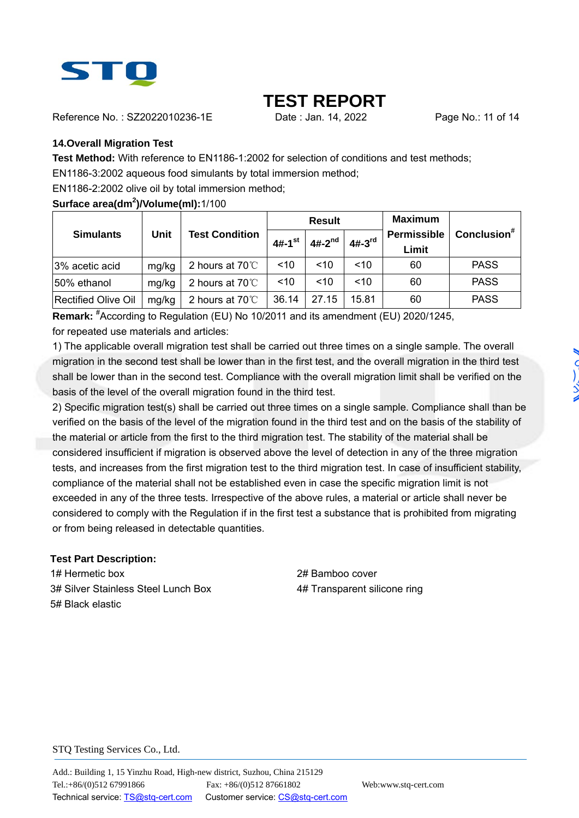

Reference No. : SZ2022010236-1E Date : Jan. 14, 2022 Page No.: 11 of 14

#### **14.Overall Migration Test**

**Test Method:** With reference to EN1186-1:2002 for selection of conditions and test methods;

EN1186-3:2002 aqueous food simulants by total immersion method;

EN1186-2:2002 olive oil by total immersion method;

**Surface area(dm<sup>2</sup> )/Volume(ml):**1/100

|                                                          |       |                         |             | <b>Result</b> |                             | <b>Maximum</b> |             |
|----------------------------------------------------------|-------|-------------------------|-------------|---------------|-----------------------------|----------------|-------------|
| <b>Unit</b><br><b>Test Condition</b><br><b>Simulants</b> |       | $4#-1$ <sup>st</sup>    | $4#-2^{nd}$ | $4#-3rd$      | <b>Permissible</b><br>Limit | Conclusion $*$ |             |
| 3% acetic acid                                           | mg/kg | 2 hours at $70^{\circ}$ | ~10         | ~10           | ~10                         | 60             | <b>PASS</b> |
| 50% ethanol                                              | mg/kg | 2 hours at $70^{\circ}$ | ~10         | ~10           | ~10                         | 60             | <b>PASS</b> |
| <b>Rectified Olive Oil</b>                               | mg/kg | 2 hours at $70^{\circ}$ | 36.14       | 27.15         | 15.81                       | 60             | <b>PASS</b> |

**Remark:** # According to Regulation (EU) No 10/2011 and its amendment (EU) 2020/1245, for repeated use materials and articles:

1) The applicable overall migration test shall be carried out three times on a single sample. The overall migration in the second test shall be lower than in the first test, and the overall migration in the third test shall be lower than in the second test. Compliance with the overall migration limit shall be verified on the basis of the level of the overall migration found in the third test.

2) Specific migration test(s) shall be carried out three times on a single sample. Compliance shall than be verified on the basis of the level of the migration found in the third test and on the basis of the stability of the material or article from the first to the third migration test. The stability of the material shall be considered insufficient if migration is observed above the level of detection in any of the three migration tests, and increases from the first migration test to the third migration test. In case of insufficient stability, compliance of the material shall not be established even in case the specific migration limit is not exceeded in any of the three tests. Irrespective of the above rules, a material or article shall never be considered to comply with the Regulation if in the first test a substance that is prohibited from migrating or from being released in detectable quantities.

#### **Test Part Description:**

1# Hermetic box 2# Bamboo cover 3# Silver Stainless Steel Lunch Box 4# Transparent silicone ring 5# Black elastic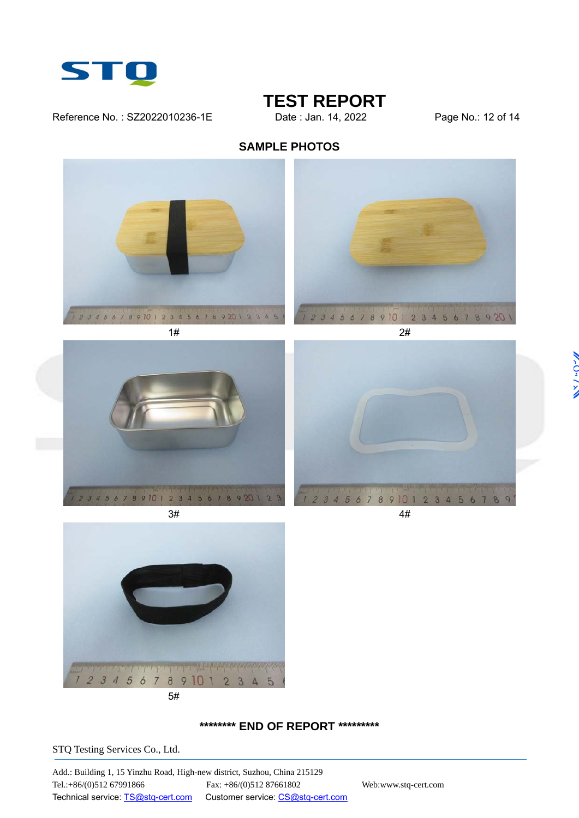

#### Reference No.: SZ2022010236-1E Date: Jan. 14, 2022 Page No.: 12 of 14

# **TEST REPORT**<br>Date : Jan. 14, 2022

### **SAMPLE PHOTOS**











#### **\*\*\*\*\*\*\*\* END OF REPORT \*\*\*\*\*\*\*\*\***

STQ Testing Services Co., Ltd.

Add.: Building 1, 15 Yinzhu Road, High-new district, Suzhou, China 215129 Tel.:+86/(0)512 67991866 Fax: +86/(0)512 87661802 Web:www.stq-cert.com Technical service: TS@stq-cert.com Customer service: CS@stq-cert.com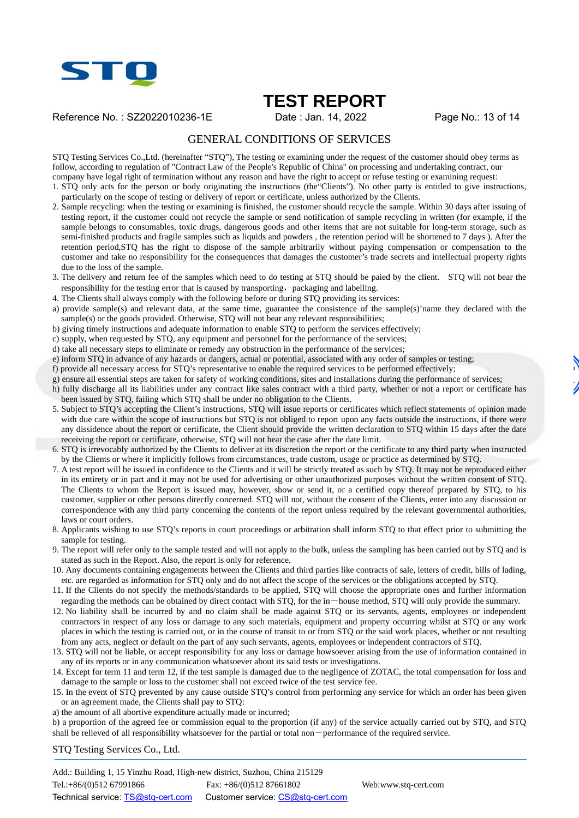

Reference No.: SZ2022010236-1E Date: Jan. 14, 2022 Page No.: 13 of 14

#### GENERAL CONDITIONS OF SERVICES

STQ Testing Services Co.,Ltd. (hereinafter "STQ"), The testing or examining under the request of the customer should obey terms as follow, according to regulation of "Contract Law of the People's Republic of China" on processing and undertaking contract, our company have legal right of termination without any reason and have the right to accept or refuse testing or examining request:

1. STQ only acts for the person or body originating the instructions (the"Clients"). No other party is entitled to give instructions, particularly on the scope of testing or delivery of report or certificate, unless authorized by the Clients.

- 2. Sample recycling: when the testing or examining is finished, the customer should recycle the sample. Within 30 days after issuing of testing report, if the customer could not recycle the sample or send notification of sample recycling in written (for example, if the sample belongs to consumables, toxic drugs, dangerous goods and other items that are not suitable for long-term storage, such as semi-finished products and fragile samples such as liquids and powders , the retention period will be shortened to 7 days ). After the retention period,STQ has the right to dispose of the sample arbitrarily without paying compensation or compensation to the customer and take no responsibility for the consequences that damages the customer's trade secrets and intellectual property rights due to the loss of the sample.
- 3. The delivery and return fee of the samples which need to do testing at STQ should be paied by the client. STQ will not bear the responsibility for the testing error that is caused by transporting, packaging and labelling.
- 4. The Clients shall always comply with the following before or during STQ providing its services:
- a) provide sample(s) and relevant data, at the same time, guarantee the consistence of the sample(s)'name they declared with the sample(s) or the goods provided. Otherwise, STQ will not bear any relevant responsibilities;
- b) giving timely instructions and adequate information to enable STQ to perform the services effectively;
- c) supply, when requested by STQ, any equipment and personnel for the performance of the services;
- d) take all necessary steps to eliminate or remedy any obstruction in the performance of the services;
- e) inform STQ in advance of any hazards or dangers, actual or potential, associated with any order of samples or testing;
- f) provide all necessary access for STQ's representative to enable the required services to be performed effectively;
- g) ensure all essential steps are taken for safety of working conditions, sites and installations during the performance of services; h) fully discharge all its liabilities under any contract like sales contract with a third party, whether or not a report or certificate has been issued by STQ, failing which STQ shall be under no obligation to the Clients.
- 5. Subject to STQ's accepting the Client's instructions, STQ will issue reports or certificates which reflect statements of opinion made with due care within the scope of instructions but STQ is not obliged to report upon any facts outside the instructions, if there were any dissidence about the report or certificate, the Client should provide the written declaration to STQ within 15 days after the date receiving the report or certificate, otherwise, STQ will not hear the case after the date limit.
- 6. STQ is irrevocably authorized by the Clients to deliver at its discretion the report or the certificate to any third party when instructed by the Clients or where it implicitly follows from circumstances, trade custom, usage or practice as determined by STQ.
- 7. A test report will be issued in confidence to the Clients and it will be strictly treated as such by STQ. It may not be reproduced either in its entirety or in part and it may not be used for advertising or other unauthorized purposes without the written consent of STQ. The Clients to whom the Report is issued may, however, show or send it, or a certified copy thereof prepared by STQ, to his customer, supplier or other persons directly concerned. STQ will not, without the consent of the Clients, enter into any discussion or correspondence with any third party concerning the contents of the report unless required by the relevant governmental authorities, laws or court orders.
- 8. Applicants wishing to use STQ's reports in court proceedings or arbitration shall inform STQ to that effect prior to submitting the sample for testing.
- 9. The report will refer only to the sample tested and will not apply to the bulk, unless the sampling has been carried out by STQ and is stated as such in the Report. Also, the report is only for reference.
- 10. Any documents containing engagements between the Clients and third parties like contracts of sale, letters of credit, bills of lading, etc. are regarded as information for STQ only and do not affect the scope of the services or the obligations accepted by STQ.
- 11. If the Clients do not specify the methods/standards to be applied, STQ will choose the appropriate ones and further information regarding the methods can be obtained by direct contact with STQ, for the in-house method, STQ will only provide the summary.
- 12. No liability shall be incurred by and no claim shall be made against STQ or its servants, agents, employees or independent contractors in respect of any loss or damage to any such materials, equipment and property occurring whilst at STQ or any work places in which the testing is carried out, or in the course of transit to or from STQ or the said work places, whether or not resulting from any acts, neglect or default on the part of any such servants, agents, employees or independent contractors of STQ.
- 13. STQ will not be liable, or accept responsibility for any loss or damage howsoever arising from the use of information contained in any of its reports or in any communication whatsoever about its said tests or investigations.
- 14. Except for term 11 and term 12, if the test sample is damaged due to the negligence of ZOTAC, the total compensation for loss and damage to the sample or loss to the customer shall not exceed twice of the test service fee.
- 15. In the event of STQ prevented by any cause outside STQ's control from performing any service for which an order has been given or an agreement made, the Clients shall pay to STQ:
- a) the amount of all abortive expenditure actually made or incurred;

b) a proportion of the agreed fee or commission equal to the proportion (if any) of the service actually carried out by STQ, and STQ shall be relieved of all responsibility whatsoever for the partial or total non-performance of the required service.

STQ Testing Services Co., Ltd.

Add.: Building 1, 15 Yinzhu Road, High-new district, Suzhou, China 215129 Tel.:+86/(0)512 67991866 Fax: +86/(0)512 87661802 Web:www.stq-cert.com Technical service: TS@stq-cert.com Customer service: CS@stq-cert.com